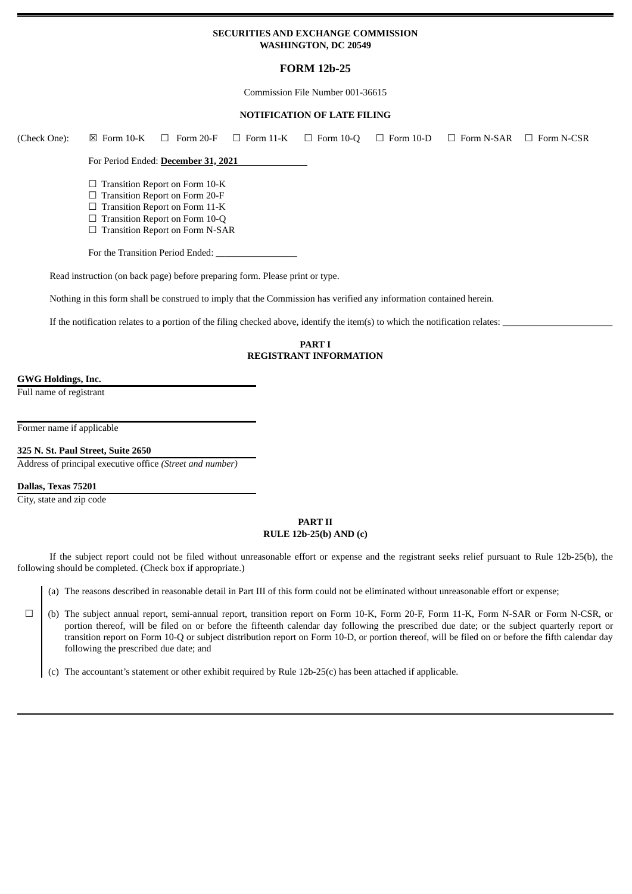## **SECURITIES AND EXCHANGE COMMISSION WASHINGTON, DC 20549**

## **FORM 12b-25**

Commission File Number 001-36615

### **NOTIFICATION OF LATE FILING**

| (Check One):       | $\boxtimes$ Form 10-K | Form 20-F<br>$\Box$                                                                                                                         | $\Box$ Form 11-K | $\Box$ Form 10-Q                               | $\Box$ Form 10-D | $\Box$ Form N-SAR                                                                                                             | $\Box$ Form N-CSR |
|--------------------|-----------------------|---------------------------------------------------------------------------------------------------------------------------------------------|------------------|------------------------------------------------|------------------|-------------------------------------------------------------------------------------------------------------------------------|-------------------|
|                    |                       | For Period Ended: December 31, 2021                                                                                                         |                  |                                                |                  |                                                                                                                               |                   |
|                    |                       | Transition Report on Form 10-K<br>Transition Report on Form 20-F<br>Transition Report on Form 11-K<br>$\Box$ Transition Report on Form 10-Q |                  |                                                |                  |                                                                                                                               |                   |
|                    | ⊔                     | <b>Transition Report on Form N-SAR</b>                                                                                                      |                  |                                                |                  |                                                                                                                               |                   |
|                    |                       | For the Transition Period Ended:                                                                                                            |                  |                                                |                  |                                                                                                                               |                   |
|                    |                       | Read instruction (on back page) before preparing form. Please print or type.                                                                |                  |                                                |                  |                                                                                                                               |                   |
|                    |                       | Nothing in this form shall be construed to imply that the Commission has verified any information contained herein.                         |                  |                                                |                  |                                                                                                                               |                   |
|                    |                       |                                                                                                                                             |                  |                                                |                  | If the notification relates to a portion of the filing checked above, identify the item(s) to which the notification relates: |                   |
|                    |                       |                                                                                                                                             |                  | <b>PART I</b><br><b>REGISTRANT INFORMATION</b> |                  |                                                                                                                               |                   |
| GWG Holdings, Inc. |                       |                                                                                                                                             |                  |                                                |                  |                                                                                                                               |                   |

Full name of registrant

Former name if applicable

**325 N. St. Paul Street, Suite 2650**

Address of principal executive office *(Street and number)*

**Dallas, Texas 75201**

City, state and zip code

## **PART II RULE 12b-25(b) AND (c)**

If the subject report could not be filed without unreasonable effort or expense and the registrant seeks relief pursuant to Rule 12b-25(b), the following should be completed. (Check box if appropriate.)

(a) The reasons described in reasonable detail in Part III of this form could not be eliminated without unreasonable effort or expense;

☐ (b) The subject annual report, semi-annual report, transition report on Form 10-K, Form 20-F, Form 11-K, Form N-SAR or Form N-CSR, or portion thereof, will be filed on or before the fifteenth calendar day following the prescribed due date; or the subject quarterly report or transition report on Form 10-Q or subject distribution report on Form 10-D, or portion thereof, will be filed on or before the fifth calendar day following the prescribed due date; and

(c) The accountant's statement or other exhibit required by Rule 12b-25(c) has been attached if applicable.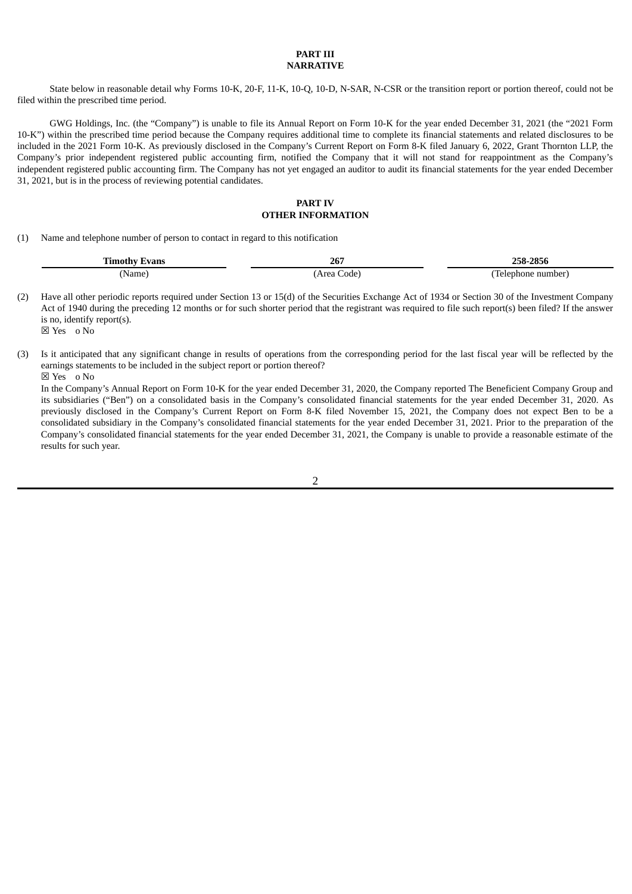### **PART III NARRATIVE**

State below in reasonable detail why Forms 10-K, 20-F, 11-K, 10-Q, 10-D, N-SAR, N-CSR or the transition report or portion thereof, could not be filed within the prescribed time period.

GWG Holdings, Inc. (the "Company") is unable to file its Annual Report on Form 10-K for the year ended December 31, 2021 (the "2021 Form 10-K") within the prescribed time period because the Company requires additional time to complete its financial statements and related disclosures to be included in the 2021 Form 10-K. As previously disclosed in the Company's Current Report on Form 8-K filed January 6, 2022, Grant Thornton LLP, the Company's prior independent registered public accounting firm, notified the Company that it will not stand for reappointment as the Company's independent registered public accounting firm. The Company has not yet engaged an auditor to audit its financial statements for the year ended December 31, 2021, but is in the process of reviewing potential candidates.

## **PART IV OTHER INFORMATION**

(1) Name and telephone number of person to contact in regard to this notification

| $\sim$<br>vans<br><b>Timothy</b> | 267                 | 205C<br>76-2656.                            |
|----------------------------------|---------------------|---------------------------------------------|
| Name                             | _ode'<br>$\sqrt{2}$ | $\overline{\phantom{a}}$<br>number<br>onone |

(2) Have all other periodic reports required under Section 13 or 15(d) of the Securities Exchange Act of 1934 or Section 30 of the Investment Company Act of 1940 during the preceding 12 months or for such shorter period that the registrant was required to file such report(s) been filed? If the answer is no, identify report(s). ☒ Yes o No

(3) Is it anticipated that any significant change in results of operations from the corresponding period for the last fiscal year will be reflected by the earnings statements to be included in the subject report or portion thereof?

☒ Yes o No

In the Company's Annual Report on Form 10-K for the year ended December 31, 2020, the Company reported The Beneficient Company Group and its subsidiaries ("Ben") on a consolidated basis in the Company's consolidated financial statements for the year ended December 31, 2020. As previously disclosed in the Company's Current Report on Form 8-K filed November 15, 2021, the Company does not expect Ben to be a consolidated subsidiary in the Company's consolidated financial statements for the year ended December 31, 2021. Prior to the preparation of the Company's consolidated financial statements for the year ended December 31, 2021, the Company is unable to provide a reasonable estimate of the results for such year.

2